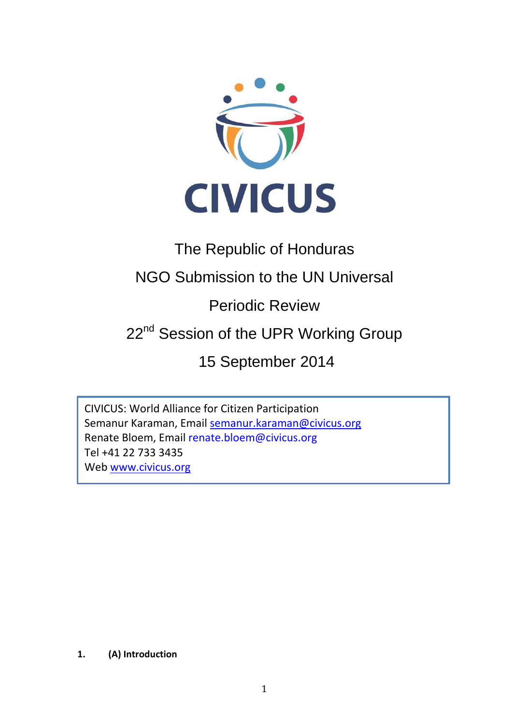

# The Republic of Honduras

## NGO Submission to the UN Universal

Periodic Review

# 22<sup>nd</sup> Session of the UPR Working Group

15 September 2014

CIVICUS: World Alliance for Citizen Participation Semanur Karaman, Email [semanur.karaman@civicus.org](mailto:semanur.karaman@civicus.org) Renate Bloem, Email renate.bloem@civicus.org Tel +41 22 733 3435 Web [www.civicus.org](http://www.civicus.org/)

### **1. (A) Introduction**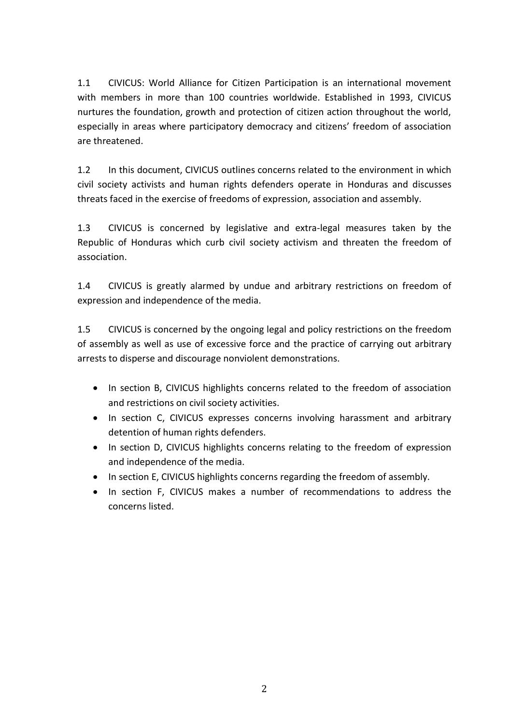1.1 CIVICUS: World Alliance for Citizen Participation is an international movement with members in more than 100 countries worldwide. Established in 1993, CIVICUS nurtures the foundation, growth and protection of citizen action throughout the world, especially in areas where participatory democracy and citizens' freedom of association are threatened.

1.2 In this document, CIVICUS outlines concerns related to the environment in which civil society activists and human rights defenders operate in Honduras and discusses threats faced in the exercise of freedoms of expression, association and assembly.

1.3 CIVICUS is concerned by legislative and extra-legal measures taken by the Republic of Honduras which curb civil society activism and threaten the freedom of association.

1.4 CIVICUS is greatly alarmed by undue and arbitrary restrictions on freedom of expression and independence of the media.

1.5 CIVICUS is concerned by the ongoing legal and policy restrictions on the freedom of assembly as well as use of excessive force and the practice of carrying out arbitrary arrests to disperse and discourage nonviolent demonstrations.

- In section B, CIVICUS highlights concerns related to the freedom of association and restrictions on civil society activities.
- In section C, CIVICUS expresses concerns involving harassment and arbitrary detention of human rights defenders.
- In section D, CIVICUS highlights concerns relating to the freedom of expression and independence of the media.
- In section E, CIVICUS highlights concerns regarding the freedom of assembly.
- In section F, CIVICUS makes a number of recommendations to address the concerns listed.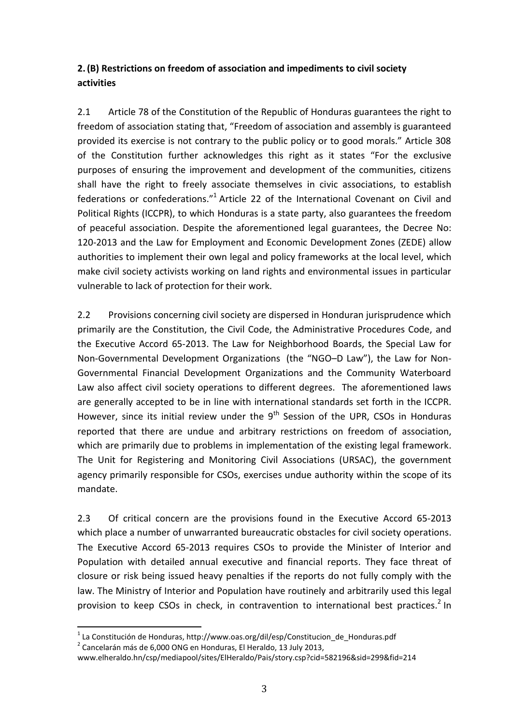## **2.(B) Restrictions on freedom of association and impediments to civil society activities**

2.1 Article 78 of the Constitution of the Republic of Honduras guarantees the right to freedom of association stating that, "Freedom of association and assembly is guaranteed provided its exercise is not contrary to the public policy or to good morals." Article 308 of the Constitution further acknowledges this right as it states "For the exclusive purposes of ensuring the improvement and development of the communities, citizens shall have the right to freely associate themselves in civic associations, to establish federations or confederations."<sup>1</sup> Article 22 of the International Covenant on Civil and Political Rights (ICCPR), to which Honduras is a state party, also guarantees the freedom of peaceful association. Despite the aforementioned legal guarantees, the Decree No: 120-2013 and the Law for Employment and Economic Development Zones (ZEDE) allow authorities to implement their own legal and policy frameworks at the local level, which make civil society activists working on land rights and environmental issues in particular vulnerable to lack of protection for their work.

2.2 Provisions concerning civil society are dispersed in Honduran jurisprudence which primarily are the Constitution, the Civil Code, the Administrative Procedures Code, and the Executive Accord 65-2013. The Law for Neighborhood Boards, the Special Law for Non-Governmental Development Organizations (the "NGO–D Law"), the Law for Non-Governmental Financial Development Organizations and the Community Waterboard Law also affect civil society operations to different degrees. The aforementioned laws are generally accepted to be in line with international standards set forth in the ICCPR. However, since its initial review under the  $9<sup>th</sup>$  Session of the UPR, CSOs in Honduras reported that there are undue and arbitrary restrictions on freedom of association, which are primarily due to problems in implementation of the existing legal framework. The Unit for Registering and Monitoring Civil Associations (URSAC), the government agency primarily responsible for CSOs, exercises undue authority within the scope of its mandate.

2.3 Of critical concern are the provisions found in the Executive Accord 65-2013 which place a number of unwarranted bureaucratic obstacles for civil society operations. The Executive Accord 65-2013 requires CSOs to provide the Minister of Interior and Population with detailed annual executive and financial reports. They face threat of closure or risk being issued heavy penalties if the reports do not fully comply with the law. The Ministry of Interior and Population have routinely and arbitrarily used this legal provision to keep CSOs in check, in contravention to international best practices.<sup>2</sup> In

 $^{1}$  La Constitución de Honduras, http://www.oas.org/dil/esp/Constitucion\_de\_Honduras.pdf

 $^2$  Cancelarán más de 6,000 ONG en Honduras, El Heraldo, 13 July 2013,

www.elheraldo.hn/csp/mediapool/sites/ElHeraldo/Pais/story.csp?cid=582196&sid=299&fid=214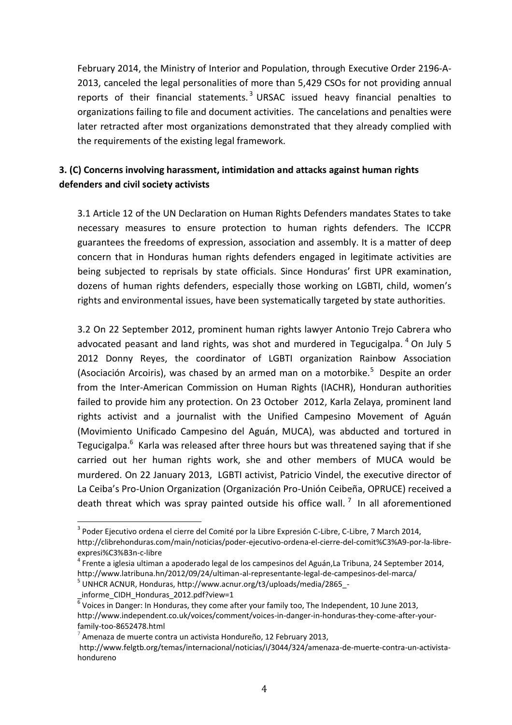February 2014, the Ministry of Interior and Population, through Executive Order 2196-A-2013, canceled the legal personalities of more than 5,429 CSOs for not providing annual reports of their financial statements.<sup>3</sup> URSAC issued heavy financial penalties to organizations failing to file and document activities. The cancelations and penalties were later retracted after most organizations demonstrated that they already complied with the requirements of the existing legal framework.

## **3. (C) Concerns involving harassment, intimidation and attacks against human rights defenders and civil society activists**

3.1 Article 12 of the UN Declaration on Human Rights Defenders mandates States to take necessary measures to ensure protection to human rights defenders. The ICCPR guarantees the freedoms of expression, association and assembly. It is a matter of deep concern that in Honduras human rights defenders engaged in legitimate activities are being subjected to reprisals by state officials. Since Honduras' first UPR examination, dozens of human rights defenders, especially those working on LGBTI, child, women's rights and environmental issues, have been systematically targeted by state authorities.

3.2 On 22 September 2012, prominent human rights lawyer Antonio Trejo Cabrera who advocated peasant and land rights, was shot and murdered in Tegucigalpa.  $4$  On July 5 2012 Donny Reyes, the coordinator of LGBTI organization Rainbow Association (Asociación Arcoiris), was chased by an armed man on a motorbike.<sup>5</sup> Despite an order from the Inter-American Commission on Human Rights (IACHR), Honduran authorities failed to provide him any protection. On 23 October 2012, Karla Zelaya, prominent land rights activist and a journalist with the Unified Campesino Movement of Aguán (Movimiento Unificado Campesino del Aguán, MUCA), was abducted and tortured in Tegucigalpa.<sup>6</sup> Karla was released after three hours but was threatened saying that if she carried out her human rights work, she and other members of MUCA would be murdered. On 22 January 2013, LGBTI activist, Patricio Vindel, the executive director of La Ceiba's Pro-Union Organization (Organización Pro-Unión Ceibeña, OPRUCE) received a death threat which was spray painted outside his office wall.  $^7$  In all aforementioned

 $^3$  Poder Ejecutivo ordena el cierre del Comité por la Libre Expresión C-Libre, C-Libre, 7 March 2014, http://clibrehonduras.com/main/noticias/poder-ejecutivo-ordena-el-cierre-del-comit%C3%A9-por-la-libre-

expresi%C3%B3n-c-libre

<sup>4</sup> Frente a iglesia ultiman a apoderado legal de los campesinos del Aguán,La Tribuna, 24 September 2014, http://www.latribuna.hn/2012/09/24/ultiman-al-representante-legal-de-campesinos-del-marca/

<sup>&</sup>lt;sup>5</sup> UNHCR ACNUR, Honduras, http://www.acnur.org/t3/uploads/media/2865\_-

\_informe\_CIDH\_Honduras\_2012.pdf?view=1<br><sup>6</sup> Voices in Danger: In Honduras, they come after your family too, The Independent, 10 June 2013, http://www.independent.co.uk/voices/comment/voices-in-danger-in-honduras-they-come-after-yourfamily-too-8652478.html

<sup>7</sup> Amenaza de muerte contra un activista Hondureño, 12 February 2013,

http://www.felgtb.org/temas/internacional/noticias/i/3044/324/amenaza-de-muerte-contra-un-activistahondureno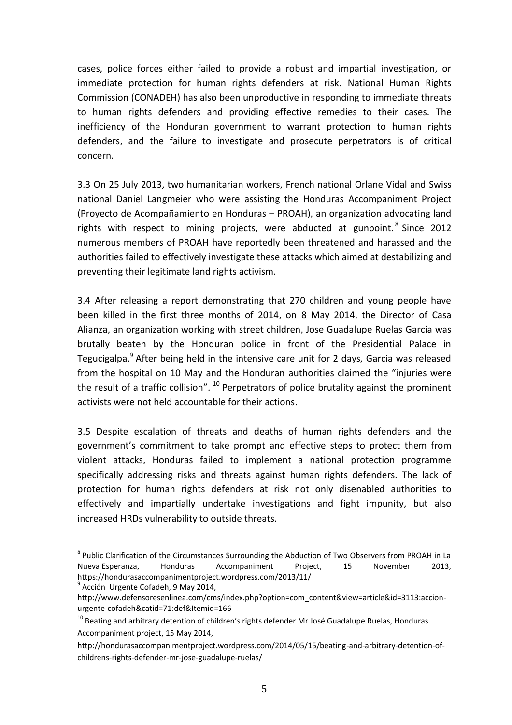cases, police forces either failed to provide a robust and impartial investigation, or immediate protection for human rights defenders at risk. National Human Rights Commission (CONADEH) has also been unproductive in responding to immediate threats to human rights defenders and providing effective remedies to their cases. The inefficiency of the Honduran government to warrant protection to human rights defenders, and the failure to investigate and prosecute perpetrators is of critical concern.

3.3 On 25 July 2013, two humanitarian workers, French national Orlane Vidal and Swiss national Daniel Langmeier who were assisting the Honduras Accompaniment Project (Proyecto de Acompañamiento en Honduras – PROAH), an organization advocating land rights with respect to mining projects, were abducted at gunpoint.<sup>8</sup> Since 2012 numerous members of PROAH have reportedly been threatened and harassed and the authorities failed to effectively investigate these attacks which aimed at destabilizing and preventing their legitimate land rights activism.

3.4 After releasing a report demonstrating that 270 children and young people have been killed in the first three months of 2014, on 8 May 2014, the Director of Casa Alianza, an organization working with street children, Jose Guadalupe Ruelas García was brutally beaten by the Honduran police in front of the Presidential Palace in Tegucigalpa.<sup>9</sup> After being held in the intensive care unit for 2 days, Garcia was released from the hospital on 10 May and the Honduran authorities claimed the "injuries were the result of a traffic collision".  $^{10}$  Perpetrators of police brutality against the prominent activists were not held accountable for their actions.

3.5 Despite escalation of threats and deaths of human rights defenders and the government's commitment to take prompt and effective steps to protect them from violent attacks, Honduras failed to implement a national protection programme specifically addressing risks and threats against human rights defenders. The lack of protection for human rights defenders at risk not only disenabled authorities to effectively and impartially undertake investigations and fight impunity, but also increased HRDs vulnerability to outside threats.

<sup>&</sup>lt;sup>8</sup> Public Clarification of the Circumstances Surrounding the Abduction of Two Observers from PROAH in La Nueva Esperanza, Honduras Accompaniment Project, 15 November 2013, https://hondurasaccompanimentproject.wordpress.com/2013/11/

<sup>&</sup>lt;sup>9</sup> Acción Urgente Cofadeh, 9 May 2014,

http://www.defensoresenlinea.com/cms/index.php?option=com\_content&view=article&id=3113:accionurgente-cofadeh&catid=71:def&Itemid=166

<sup>&</sup>lt;sup>10</sup> Beating and arbitrary detention of children's rights defender Mr José Guadalupe Ruelas, Honduras Accompaniment project, 15 May 2014,

http://hondurasaccompanimentproject.wordpress.com/2014/05/15/beating-and-arbitrary-detention-ofchildrens-rights-defender-mr-jose-guadalupe-ruelas/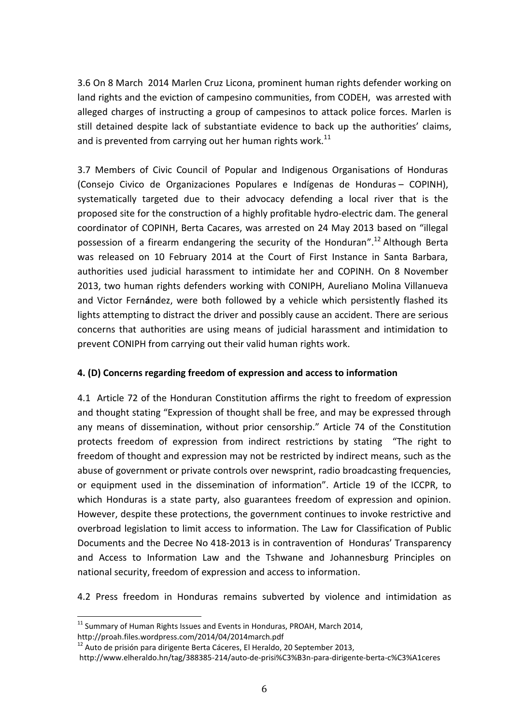3.6 On 8 March 2014 Marlen Cruz Licona, prominent human rights defender working on land rights and the eviction of campesino communities, from CODEH, was arrested with alleged charges of instructing a group of campesinos to attack police forces. Marlen is still detained despite lack of substantiate evidence to back up the authorities' claims, and is prevented from carrying out her human rights work.<sup>11</sup>

3.7 Members of Civic Council of Popular and Indigenous Organisations of Honduras (Consejo Civico de Organizaciones Populares e Indígenas de Honduras – COPINH), systematically targeted due to their advocacy defending a local river that is the proposed site for the construction of a highly profitable hydro-electric dam. The general coordinator of COPINH, Berta Cacares, was arrested on 24 May 2013 based on "illegal possession of a firearm endangering the security of the Honduran".<sup>12</sup> Although Berta was released on 10 February 2014 at the Court of First Instance in Santa Barbara, authorities used judicial harassment to intimidate her and COPINH. On 8 November 2013, two human rights defenders working with CONIPH, Aureliano Molina Villanueva and Victor Fern**á**ndez, were both followed by a vehicle which persistently flashed its lights attempting to distract the driver and possibly cause an accident. There are serious concerns that authorities are using means of judicial harassment and intimidation to prevent CONIPH from carrying out their valid human rights work.

### **4. (D) Concerns regarding freedom of expression and access to information**

4.1 Article 72 of the Honduran Constitution affirms the right to freedom of expression and thought stating "Expression of thought shall be free, and may be expressed through any means of dissemination, without prior censorship." Article 74 of the Constitution protects freedom of expression from indirect restrictions by stating "The right to freedom of thought and expression may not be restricted by indirect means, such as the abuse of government or private controls over newsprint, radio broadcasting frequencies, or equipment used in the dissemination of information". Article 19 of the ICCPR, to which Honduras is a state party, also guarantees freedom of expression and opinion. However, despite these protections, the government continues to invoke restrictive and overbroad legislation to limit access to information. The Law for Classification of Public Documents and the Decree No 418-2013 is in contravention of Honduras' Transparency and Access to Information Law and the Tshwane and Johannesburg Principles on national security, freedom of expression and access to information.

4.2 Press freedom in Honduras remains subverted by violence and intimidation as

<sup>&</sup>lt;sup>11</sup> Summary of Human Rights Issues and Events in Honduras, PROAH, March 2014, http://proah.files.wordpress.com/2014/04/2014march.pdf

<sup>&</sup>lt;sup>12</sup> Auto de prisión para dirigente Berta Cáceres, El Heraldo, 20 September 2013,

http://www.elheraldo.hn/tag/388385-214/auto-de-prisi%C3%B3n-para-dirigente-berta-c%C3%A1ceres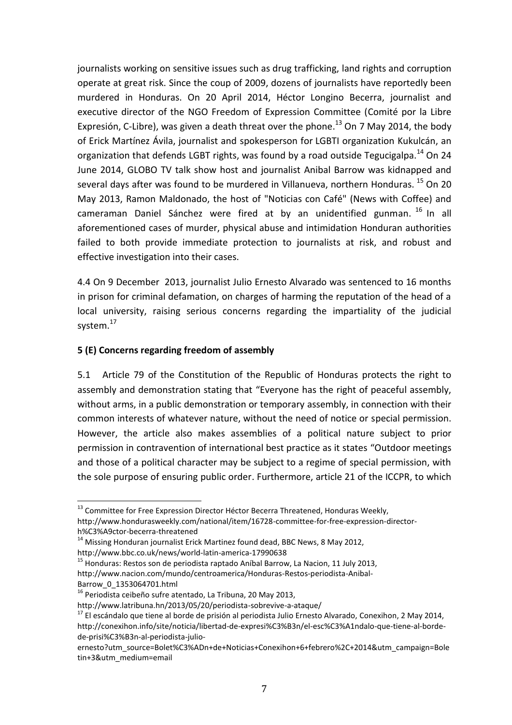journalists working on sensitive issues such as drug trafficking, land rights and corruption operate at great risk. Since the coup of 2009, dozens of journalists have reportedly been murdered in Honduras. On 20 April 2014, Héctor Longino Becerra, journalist and executive director of the NGO Freedom of Expression Committee (Comité por la Libre Expresión, C-Libre), was given a death threat over the phone.<sup>13</sup> On 7 May 2014, the body of Erick Martínez Ávila, journalist and spokesperson for LGBTI organization Kukulcán, an organization that defends LGBT rights, was found by a road outside Tegucigalpa.<sup>14</sup> On 24 June 2014, GLOBO TV talk show host and journalist Anibal Barrow was kidnapped and several days after was found to be murdered in Villanueva, northern Honduras.<sup>15</sup> On 20 May 2013, Ramon Maldonado, the host of "Noticias con Café" (News with Coffee) and cameraman Daniel Sánchez were fired at by an unidentified gunman. <sup>16</sup> In all aforementioned cases of murder, physical abuse and intimidation Honduran authorities failed to both provide immediate protection to journalists at risk, and robust and effective investigation into their cases.

4.4 On 9 December 2013, journalist Julio Ernesto Alvarado was sentenced to 16 months in prison for criminal defamation, on charges of harming the reputation of the head of a local university, raising serious concerns regarding the impartiality of the judicial system.<sup>17</sup>

#### **5 (E) Concerns regarding freedom of assembly**

5.1 Article 79 of the Constitution of the Republic of Honduras protects the right to assembly and demonstration stating that "Everyone has the right of peaceful assembly, without arms, in a public demonstration or temporary assembly, in connection with their common interests of whatever nature, without the need of notice or special permission. However, the article also makes assemblies of a political nature subject to prior permission in contravention of international best practice as it states "Outdoor meetings and those of a political character may be subject to a regime of special permission, with the sole purpose of ensuring public order. Furthermore, article 21 of the ICCPR, to which

 $^{13}$  Committee for Free Expression Director Héctor Becerra Threatened, Honduras Weekly, http://www.hondurasweekly.com/national/item/16728-committee-for-free-expression-directorh%C3%A9ctor-becerra-threatened

 $14$  Missing Honduran journalist Erick Martinez found dead, BBC News, 8 May 2012,

http://www.bbc.co.uk/news/world-latin-america-17990638

<sup>&</sup>lt;sup>15</sup> [Honduras:](http://www.nacion.com/mundo/centroamerica/Honduras-Restos-periodista-Anibal-Barrow_0_1353064701.html) Restos son de periodista raptado Aníbal Barrow, La Nacion, 11 July 2013, http://www.nacion.com/mundo/centroamerica/Honduras-Restos-periodista-Anibal-Barrow\_0\_1353064701.html

<sup>16</sup> Periodista ceibeño sufre atentado, La Tribuna, 20 May 2013,

http://www.latribuna.hn/2013/05/20/periodista-sobrevive-a-ataque/

<sup>&</sup>lt;sup>17</sup> El escándalo que tiene al borde de prisión al periodista Julio Ernesto Alvarado, Conexihon, 2 May 2014, http://conexihon.info/site/noticia/libertad-de-expresi%C3%B3n/el-esc%C3%A1ndalo-que-tiene-al-bordede-prisi%C3%B3n-al-periodista-julio-

ernesto?utm\_source=Bolet%C3%ADn+de+Noticias+Conexihon+6+febrero%2C+2014&utm\_campaign=Bole tin+3&utm\_medium=email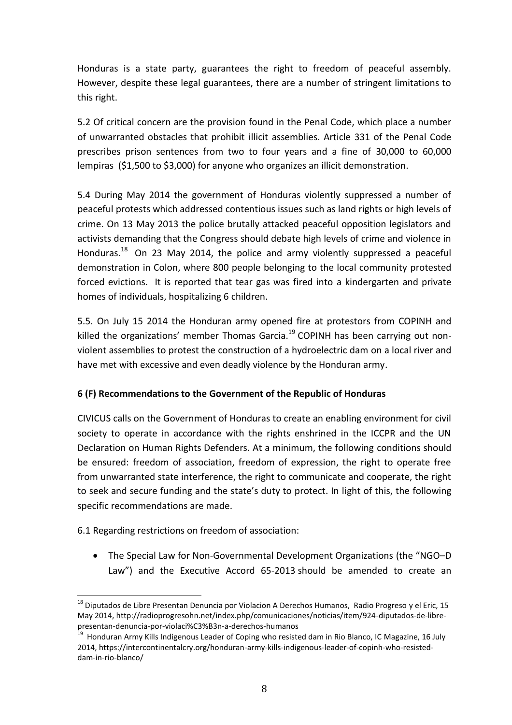Honduras is a state party, guarantees the right to freedom of peaceful assembly. However, despite these legal guarantees, there are a number of stringent limitations to this right.

5.2 Of critical concern are the provision found in the Penal Code, which place a number of unwarranted obstacles that prohibit illicit assemblies. Article 331 of the Penal Code prescribes prison sentences from two to four years and a fine of 30,000 to 60,000 lempiras (\$1,500 to \$3,000) for anyone who organizes an illicit demonstration.

5.4 During May 2014 the government of Honduras violently suppressed a number of peaceful protests which addressed contentious issues such as land rights or high levels of crime. On 13 May 2013 the police brutally attacked peaceful opposition legislators and activists demanding that the Congress should debate high levels of crime and violence in Honduras.<sup>18</sup> On 23 May 2014, the police and army violently suppressed a peaceful demonstration in Colon, where 800 people belonging to the local community protested forced evictions. It is reported that tear gas was fired into a kindergarten and private homes of individuals, hospitalizing 6 children.

5.5. On July 15 2014 the Honduran army opened fire at protestors from COPINH and killed the organizations' member Thomas Garcia.<sup>19</sup> COPINH has been carrying out nonviolent assemblies to protest the construction of a hydroelectric dam on a local river and have met with excessive and even deadly violence by the Honduran army.

### **6 (F) Recommendations to the Government of the Republic of Honduras**

CIVICUS calls on the Government of Honduras to create an enabling environment for civil society to operate in accordance with the rights enshrined in the ICCPR and the UN Declaration on Human Rights Defenders. At a minimum, the following conditions should be ensured: freedom of association, freedom of expression, the right to operate free from unwarranted state interference, the right to communicate and cooperate, the right to seek and secure funding and the state's duty to protect. In light of this, the following specific recommendations are made.

6.1 Regarding restrictions on freedom of association:

 $\overline{a}$ 

 The Special Law for Non-Governmental Development Organizations (the "NGO–D Law") and the Executive Accord 65-2013 should be amended to create an

<sup>&</sup>lt;sup>18</sup> Diputados de Libre Presentan Denuncia por Violacion A Derechos Humanos, Radio Progreso y el Eric, 15 May 2014, http://radioprogresohn.net/index.php/comunicaciones/noticias/item/924-diputados-de-librepresentan-denuncia-por-violaci%C3%B3n-a-derechos-humanos

<sup>19</sup> Honduran Army Kills Indigenous Leader of Coping who resisted dam in Rio Blanco, IC Magazine, 16 July 2014, https://intercontinentalcry.org/honduran-army-kills-indigenous-leader-of-copinh-who-resisteddam-in-rio-blanco/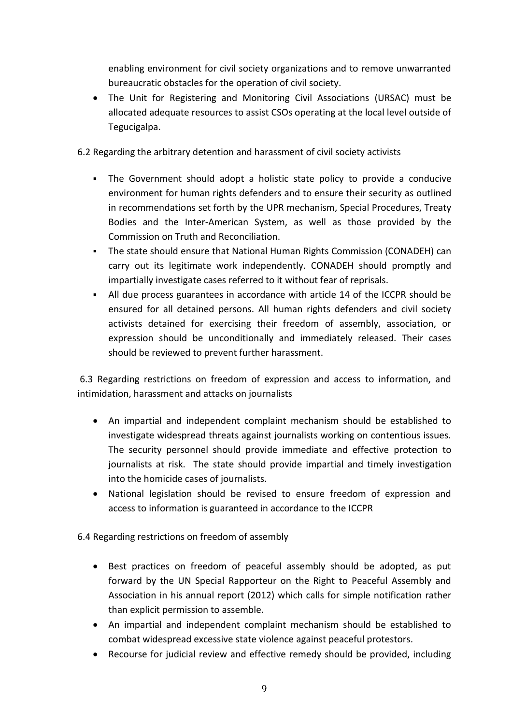enabling environment for civil society organizations and to remove unwarranted bureaucratic obstacles for the operation of civil society.

- The Unit for Registering and Monitoring Civil Associations (URSAC) must be allocated adequate resources to assist CSOs operating at the local level outside of Tegucigalpa.
- 6.2 Regarding the arbitrary detention and harassment of civil society activists
	- The Government should adopt a holistic state policy to provide a conducive environment for human rights defenders and to ensure their security as outlined in recommendations set forth by the UPR mechanism, Special Procedures, Treaty Bodies and the Inter-American System, as well as those provided by the Commission on Truth and Reconciliation.
	- The state should ensure that National Human Rights Commission (CONADEH) can carry out its legitimate work independently. CONADEH should promptly and impartially investigate cases referred to it without fear of reprisals.
	- All due process guarantees in accordance with article 14 of the ICCPR should be ensured for all detained persons. All human rights defenders and civil society activists detained for exercising their freedom of assembly, association, or expression should be unconditionally and immediately released. Their cases should be reviewed to prevent further harassment.

6.3 Regarding restrictions on freedom of expression and access to information, and intimidation, harassment and attacks on journalists

- An impartial and independent complaint mechanism should be established to investigate widespread threats against journalists working on contentious issues. The security personnel should provide immediate and effective protection to journalists at risk. The state should provide impartial and timely investigation into the homicide cases of journalists.
- National legislation should be revised to ensure freedom of expression and access to information is guaranteed in accordance to the ICCPR

6.4 Regarding restrictions on freedom of assembly

- Best practices on freedom of peaceful assembly should be adopted, as put forward by the UN Special Rapporteur on the Right to Peaceful Assembly and Association in his annual report (2012) which calls for simple notification rather than explicit permission to assemble.
- An impartial and independent complaint mechanism should be established to combat widespread excessive state violence against peaceful protestors.
- Recourse for judicial review and effective remedy should be provided, including